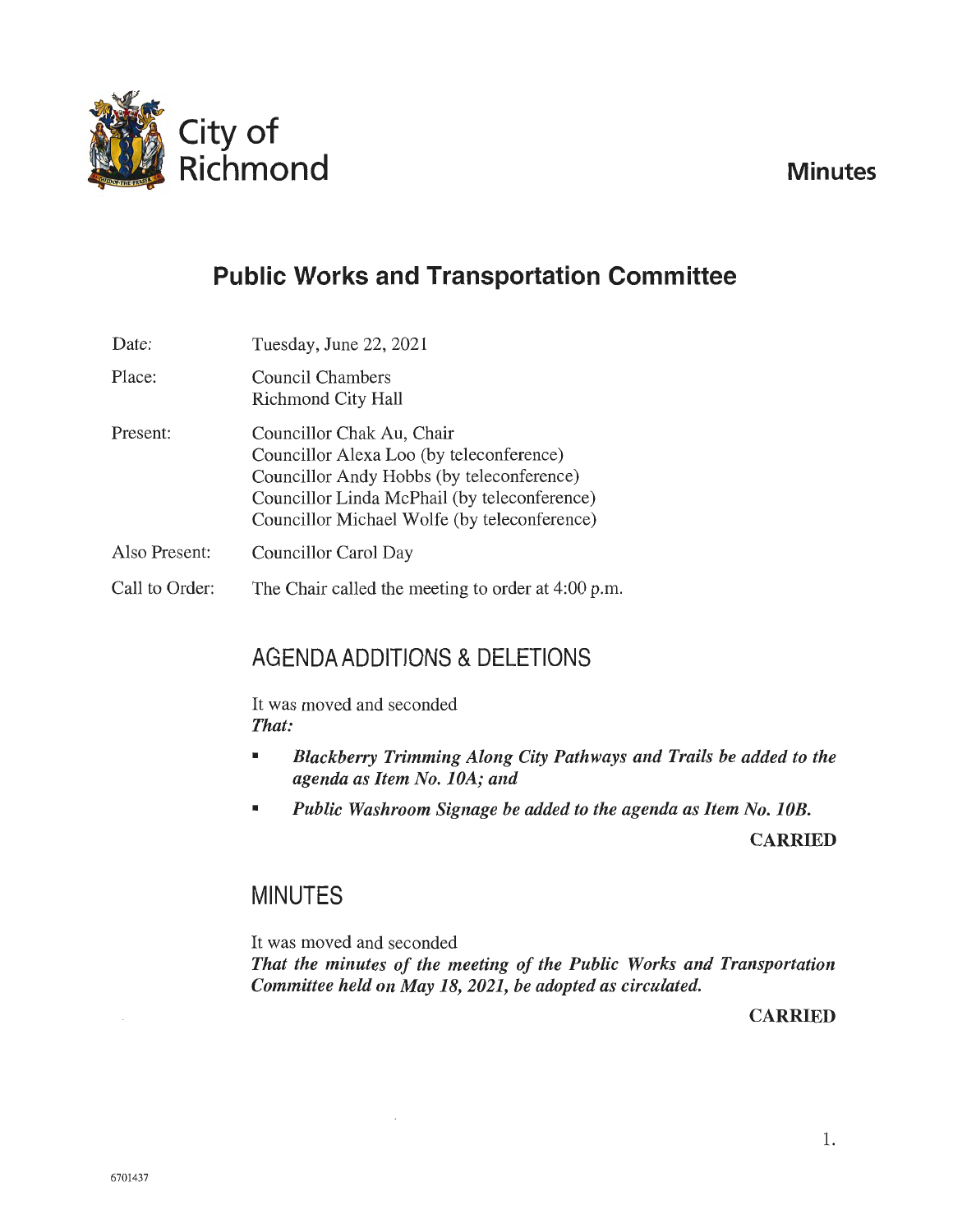

# **Public Works and Transportation Committee**

| Date:          | Tuesday, June 22, 2021                                                                                                                                                                                             |
|----------------|--------------------------------------------------------------------------------------------------------------------------------------------------------------------------------------------------------------------|
| Place:         | Council Chambers<br>Richmond City Hall                                                                                                                                                                             |
| Present:       | Councillor Chak Au, Chair<br>Councillor Alexa Loo (by teleconference)<br>Councillor Andy Hobbs (by teleconference)<br>Councillor Linda McPhail (by teleconference)<br>Councillor Michael Wolfe (by teleconference) |
| Also Present:  | Councillor Carol Day                                                                                                                                                                                               |
| Call to Order: | The Chair called the meeting to order at 4:00 p.m.                                                                                                                                                                 |

## AGENDA ADDITIONS & DELETIONS

It was moved and seconded *That:* 

- *Blackberry Trimming Along City Pathways and Trails be added to the agenda as Item No. JOA; and*
- *Public Washroom Signage be added to the agenda as Item No. JOB.*

**CARRIED** 

## MINUTES

It was moved and seconded

*That the minutes of the meeting of the Public Works and Transportation Committee held on May 18, 2021, be adopted as circulated.* 

**CARRIED**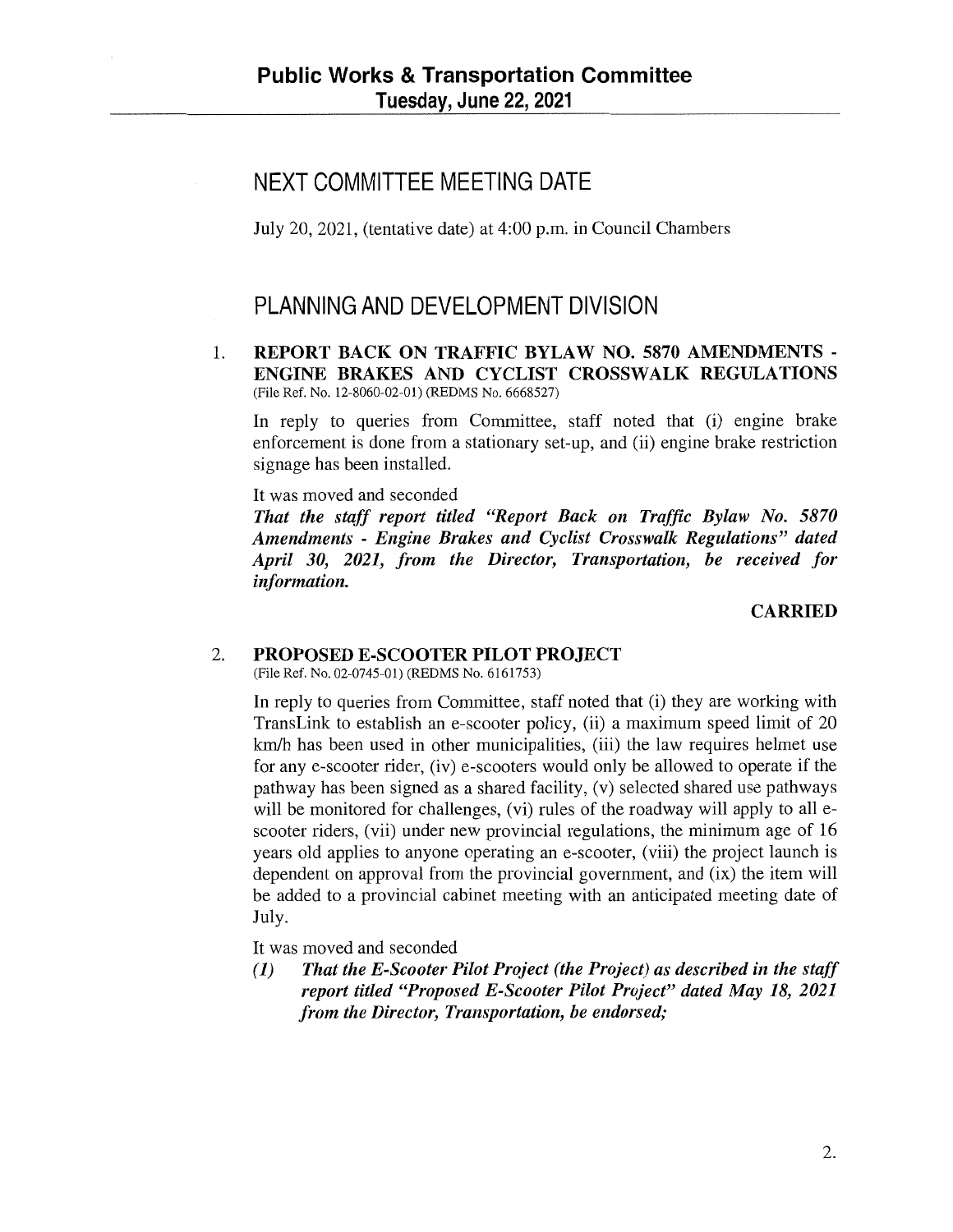## NEXT COMMITTEE MEETING DATE

July 20, 2021, (tentative date) at 4:00 p.m. in Council Chambers

## PLANNING AND DEVELOPMENT DIVISION

1. **REPORT BACK ON TRAFFIC BYLAW NO. 5870 AMENDMENTS** - **ENGINE BRAKES AND CYCLIST CROSSWALK REGULATIONS**  (File Ref. No. 12-8060-02-01) (REDMS No. 6668527)

In reply to queries from Committee, staff noted that (i) engine brake enforcement is done from a stationary set-up, and (ii) engine brake restriction signage has been installed.

It was moved and seconded

*That the staff report titled "Report Back on Traffic Bylaw No. 5870 Amendments* - *Engine Brakes and Cyclist Crosswalk Regulations" dated April 30, 2021, from the Director, Transportation, be received for information.* 

**CARRIED** 

#### 2. **PROPOSED E-SCOOTER PILOT PROJECT**

(File Ref. No. 02-0745-01) (REDMS No. 6161753)

In reply to queries from Committee, staff noted that (i) they are working with TransLink to establish an e-scooter policy, (ii) a maximum speed limit of 20 km/h has been used in other municipalities, (iii) the law requires helmet use for any e-scooter rider, (iv) e-scooters would only be allowed to operate if the pathway has been signed as a shared facility, (v) selected shared use pathways will be monitored for challenges, (vi) rules of the roadway will apply to all escooter riders, (vii) under new provincial regulations, the minimum age of 16 years old applies to anyone operating an e-scooter, (viii) the project launch is dependent on approval from the provincial government, and (ix) the item will be added to a provincial cabinet meeting with an anticipated meeting date of July.

It was moved and seconded

**(1)** *That the E-Scooter Pilot Project (the Project) as described in the staff report titled "Proposed E-Scooter Pilot Project" dated May 18, 2021 from the Director, Transportation, be endorsed;*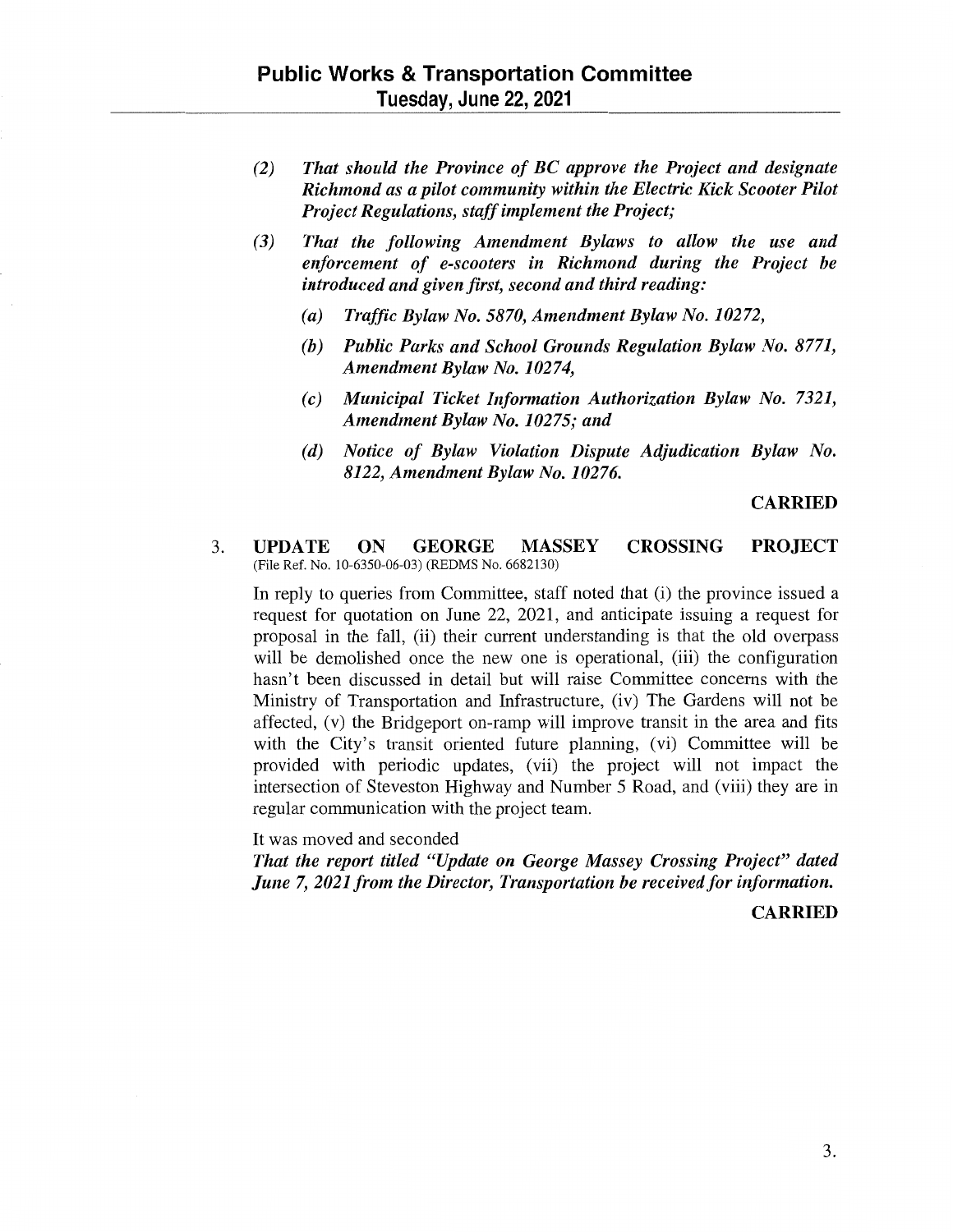- *(2) That should the Province of BC approve the Project and designate Richmond as a pilot community within the Electric Kick Scooter Pilot Project Regulations, staff implement the Project;*
- *(3) That the following Amendment Bylaws to allow the use and enforcement of e-scooters in Richmond during the Project be introduced and given first, second and third reading:* 
	- *(a) Traffic Bylaw No. 5870, Amendment Bylaw No. 10272,*
	- *(b) Public Parks and School Grounds Regulation Bylaw No. 8771, Amendment Bylaw No. 10274,*
	- *(c) Municipal Ticket Information Authorization Bylaw No. 7321, Amendment Bylaw No. 10275; and*
	- *(d) Notice of Bylaw Violation Dispute Adjudication Bylaw No. 8122, Amendment Bylaw No.10276.*

#### **CARRIED**

#### 3. **UPDATE ON GEORGE MASSEY CROSSING PROJECT**  (File Ref. No. 10-6350-06-03) (REDMS No. 6682130)

In reply to queries from Committee, staff noted that (i) the province issued a request for quotation on June 22, 2021, and anticipate issuing a request for proposal in the fall, (ii) their current understanding is that the old overpass will be demolished once the new one is operational, (iii) the configuration hasn't been discussed in detail but will raise Committee concerns with the Ministry of Transportation and Infrastructure, (iv) The Gardens will not be affected, (v) the Bridgeport on-ramp will improve transit in the area and fits with the City's transit oriented future planning, (vi) Committee will be provided with periodic updates, (vii) the project will not impact the intersection of Steveston Highway and Number 5 Road, and (viii) they are in regular communication with the project team.

It was moved and seconded

*That the report titled "Update on George Massey Crossing Project" dated June* 7, *2021 from the Director, Transportation be received for information.* 

**CARRIED**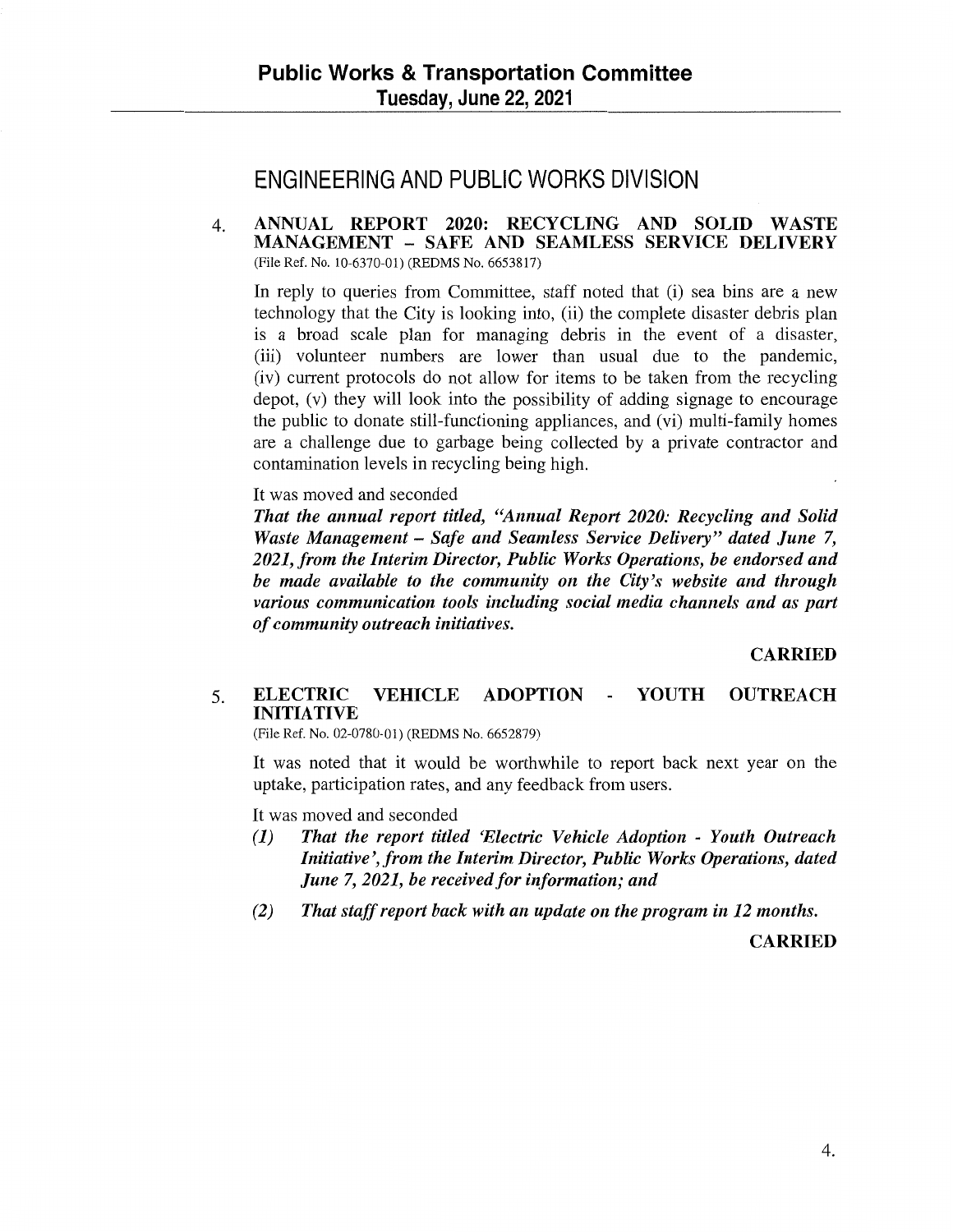## ENGINEERING AND PUBLIC WORKS DIVISION

4. **ANNUAL REPORT 2020: RECYCLING AND SOLID WASTE MANAGEMENT** - **SAFE AND SEAMLESS SERVICE DELIVERY**  (File Ref. No. 10-6370-01) (REDMS No. 6653817)

In reply to queries from Committee, staff noted that (i) sea bins are a new technology that the City is looking into, (ii) the complete disaster debris plan is a broad scale plan for managing debris in the event of a disaster, (iii) volunteer numbers are lower than usual due to the pandemic, (iv) current protocols do not allow for items to be taken from the recycling depot, (v) they will look into the possibility of adding signage to encourage the public to donate still-functioning appliances, and (vi) multi-family homes are a challenge due to garbage being collected by a private contractor and contamination levels in recycling being high.

It was moved and seconded

*That the annual report titled, "Annual Report 2020: Recycling and Solid Waste Management* - *Safe and Seamless Service Delivery" dated June* 7, *2021, from the lnterim Director, Public Works Operations, be endorsed and be made available to the community on the City's website and through various communication tools including social media channels and as part of community outreach initiatives.* 

**CARRIED** 

#### 5. **ELECTRIC VEHICLE ADOPTION INITIATIVE YOUTH OUTREACH**

(File Ref. No. 02-0780-01) (REDMS No. 6652879)

It was noted that it would be worthwhile to report back next year on the uptake, participation rates, and any feedback from users.

It was moved and seconded

- *(1) That the report titled 'Electric Vehicle Adoption Youth Outreach*  Initiative', from the Interim Director, Public Works Operations, dated *June* 7, *2021, be received for information; and*
- *(2) That staff report back with an update on the program in 12 months.*

**CARRIED**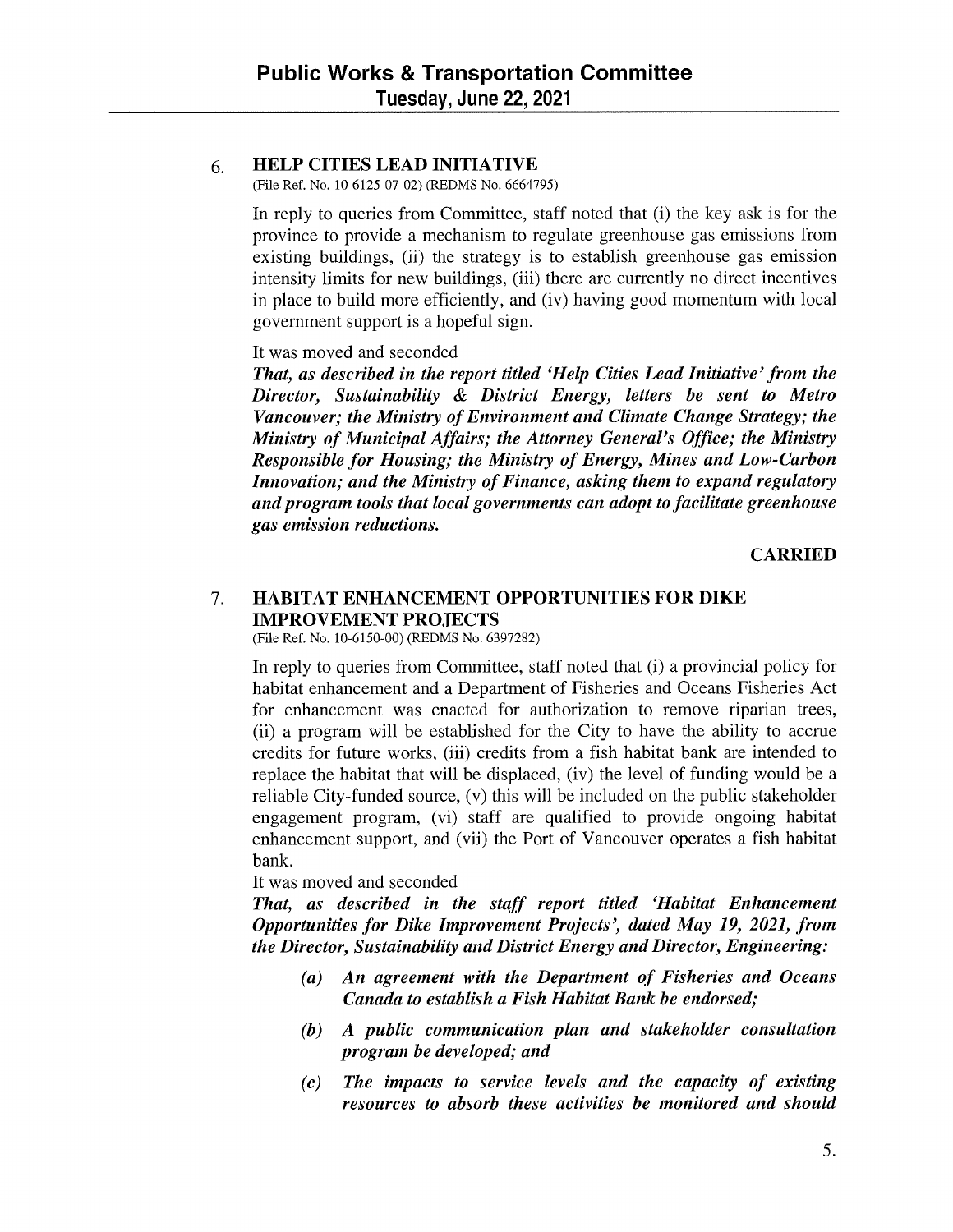### 6. **HELP CITIES LEAD INITIATIVE**

(File Ref. No. 10-6125-07-02) (REDMS No. 6664795)

In reply to queries from Committee, staff noted that (i) the key ask is for the province to provide a mechanism to regulate greenhouse gas emissions from existing buildings, (ii) the strategy is to establish greenhouse gas emission intensity limits for new buildings, (iii) there are currently no direct incentives in place to build more efficiently, and (iv) having good momentum with local government support is a hopeful sign.

It was moved and seconded

*That, as described in the report titled 'Help Cities Lead Initiative' from the Director, Sustainability* & *District Energy, letters be sent to Metro Vancouver; the Ministry of Environment and Climate Change Strategy; the Ministry of Municipal Affairs; the Attorney General's Office; the Ministry Responsible for Housing; the Ministry of Energy, Mines and Low-Carbon Innovation; and the Ministry of Finance, asking them to expand regulatory and program tools that local governments can adopt to facilitate greenhouse gas emission reductions.* 

**CARRIED** 

## 7. **HABITAT ENHANCEMENT OPPORTUNITIES FOR DIKE IMPROVEMENT PROJECTS**

(File Ref. No. 10-6150-00) (REDMS No. 6397282)

In reply to queries from Committee, staff noted that (i) a provincial policy for habitat enhancement and a Department of Fisheries and Oceans Fisheries Act for enhancement was enacted for authorization to remove riparian trees, (ii) a program will be established for the City to have the ability to accrue credits for future works, (iii) credits from a fish habitat bank are intended to replace the habitat that will be displaced, (iv) the level of funding would be a reliable City-funded source, (v) this will be included on the public stakeholder engagement program, (vi) staff are qualified to provide ongoing habitat enhancement support, and (vii) the Port of Vancouver operates a fish habitat bank.

It was moved and seconded

*That, as described in the staff report titled 'Habitat Enhancement Opportunities for Dike Improvement Projects', dated May 19, 2021, from the Director, Sustainability and District Energy and Director, Engineering:* 

- *(a) An agreement with the Department of Fisheries and Oceans Canada to establish a Fish Habitat Bank be endorsed;*
- *(b) A public communication plan and stakeholder consultation program be developed; and*
- *( c) The impacts to service levels and the capacity of existing resources to absorb these activities be monitored and should*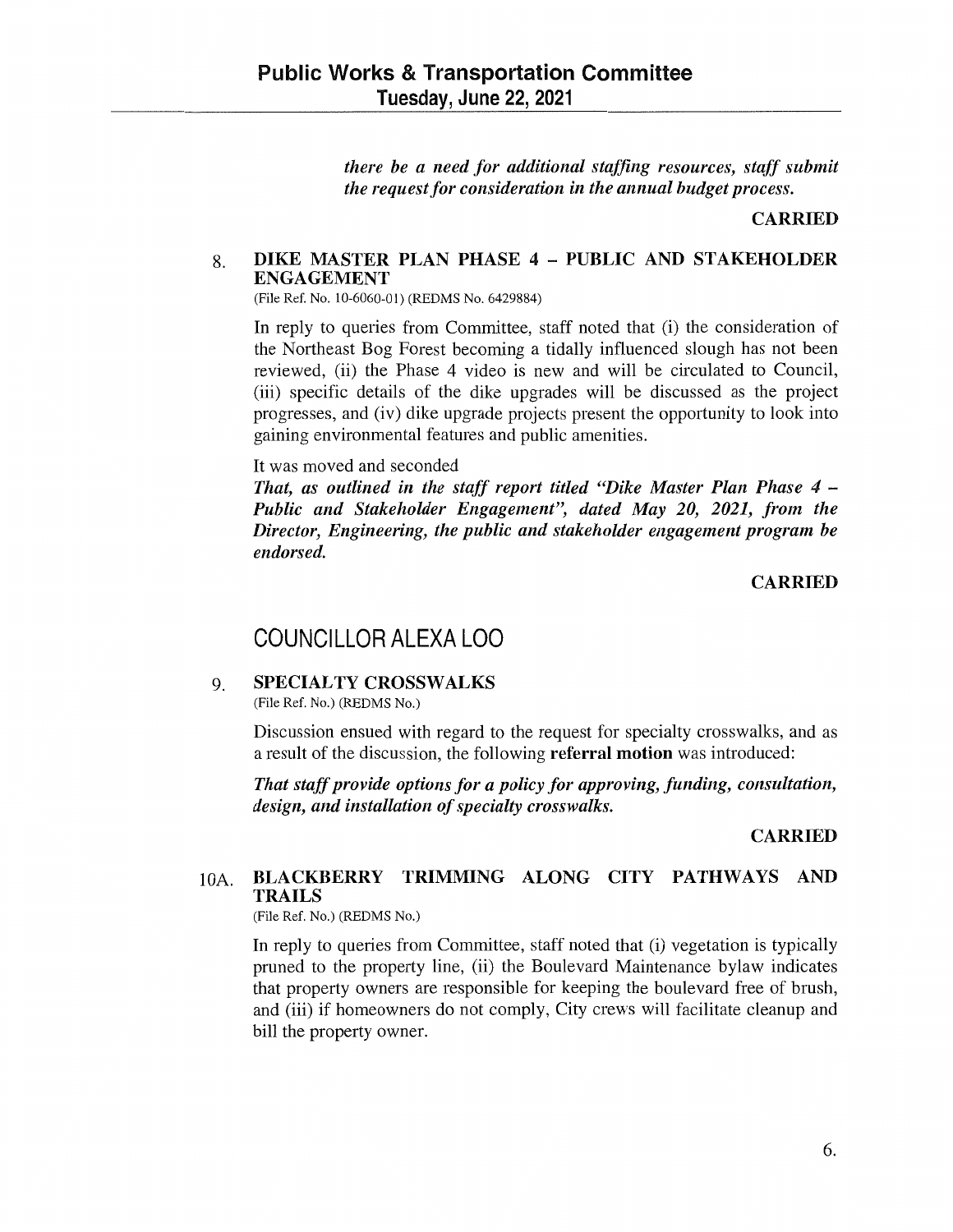*there be a need for additional staffing resources, staff submit the request for consideration in the annual budget process.* 

#### **CARRIED**

### 8. **DIKE MASTER PLAN PHASE 4** - **PUBLIC AND STAKEHOLDER ENGAGEMENT**

(File Ref. No. 10-6060-01) (REDMS No. 6429884)

In reply to queries from Committee, staff noted that (i) the consideration of the Northeast Bog Forest becoming a tidally influenced slough has not been reviewed, (ii) the Phase 4 video is new and will be circulated to Council, (iii) specific details of the dike upgrades will be discussed as the project progresses, and (iv) dike upgrade projects present the opportunity to look into gaining environmental features and public amenities.

#### It was moved and seconded

*That, as outlined in the staff report titled "Dike Master Plan Phase 4 – Public and Stakeholder Engagement", dated May 20, 2021, from the Director, Engineering, the public and stakeholder engagement program be endorsed.* 

#### **CARRIED**

## COUNCILLOR ALEXA LOO

#### 9. **SPECIALTY CROSSWALKS**

(File Ref. No.) (REDMS No.)

Discussion ensued with regard to the request for specialty crosswalks, and as a result of the discussion, the following **referral motion** was introduced:

*That staff provide options for a policy for approving, funding, consultation, design, and installation of specialty crosswalks.* 

#### **CARRIED**

## IOA. **BLACKBERRY TRIMMING ALONG CITY PATHWAYS AND TRAILS**

(File Ref. No.) (REDMS No.)

In reply to queries from Committee, staff noted that (i) vegetation is typically pruned to the property line, (ii) the Boulevard Maintenance bylaw indicates that property owners are responsible for keeping the boulevard free of brush, and (iii) if homeowners do not comply, City crews will facilitate cleanup and bill the property owner.